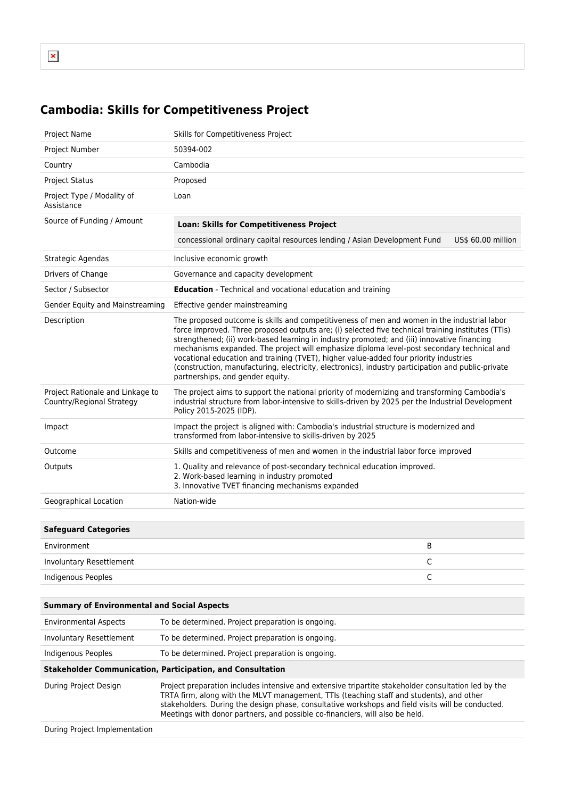## **Cambodia: Skills for Competitiveness Project**

| Project Name                                                      | Skills for Competitiveness Project                                                                                                                                                                                                                                                                                                                                                                                                                                                                                                                                                                                                |                    |
|-------------------------------------------------------------------|-----------------------------------------------------------------------------------------------------------------------------------------------------------------------------------------------------------------------------------------------------------------------------------------------------------------------------------------------------------------------------------------------------------------------------------------------------------------------------------------------------------------------------------------------------------------------------------------------------------------------------------|--------------------|
| Project Number                                                    | 50394-002                                                                                                                                                                                                                                                                                                                                                                                                                                                                                                                                                                                                                         |                    |
| Country                                                           | Cambodia                                                                                                                                                                                                                                                                                                                                                                                                                                                                                                                                                                                                                          |                    |
| <b>Project Status</b>                                             | Proposed                                                                                                                                                                                                                                                                                                                                                                                                                                                                                                                                                                                                                          |                    |
| Project Type / Modality of<br>Assistance                          | Loan                                                                                                                                                                                                                                                                                                                                                                                                                                                                                                                                                                                                                              |                    |
| Source of Funding / Amount                                        | <b>Loan: Skills for Competitiveness Project</b>                                                                                                                                                                                                                                                                                                                                                                                                                                                                                                                                                                                   |                    |
|                                                                   | concessional ordinary capital resources lending / Asian Development Fund                                                                                                                                                                                                                                                                                                                                                                                                                                                                                                                                                          | US\$ 60.00 million |
| Strategic Agendas                                                 | Inclusive economic growth                                                                                                                                                                                                                                                                                                                                                                                                                                                                                                                                                                                                         |                    |
| Drivers of Change                                                 | Governance and capacity development                                                                                                                                                                                                                                                                                                                                                                                                                                                                                                                                                                                               |                    |
| Sector / Subsector                                                | <b>Education</b> - Technical and vocational education and training                                                                                                                                                                                                                                                                                                                                                                                                                                                                                                                                                                |                    |
| Gender Equity and Mainstreaming                                   | Effective gender mainstreaming                                                                                                                                                                                                                                                                                                                                                                                                                                                                                                                                                                                                    |                    |
| Description                                                       | The proposed outcome is skills and competitiveness of men and women in the industrial labor<br>force improved. Three proposed outputs are; (i) selected five technical training institutes (TTIs)<br>strengthened; (ii) work-based learning in industry promoted; and (iii) innovative financing<br>mechanisms expanded. The project will emphasize diploma level-post secondary technical and<br>vocational education and training (TVET), higher value-added four priority industries<br>(construction, manufacturing, electricity, electronics), industry participation and public-private<br>partnerships, and gender equity. |                    |
| Project Rationale and Linkage to<br>Country/Regional Strategy     | The project aims to support the national priority of modernizing and transforming Cambodia's<br>industrial structure from labor-intensive to skills-driven by 2025 per the Industrial Development<br>Policy 2015-2025 (IDP).                                                                                                                                                                                                                                                                                                                                                                                                      |                    |
| Impact                                                            | Impact the project is aligned with: Cambodia's industrial structure is modernized and<br>transformed from labor-intensive to skills-driven by 2025                                                                                                                                                                                                                                                                                                                                                                                                                                                                                |                    |
| Outcome                                                           | Skills and competitiveness of men and women in the industrial labor force improved                                                                                                                                                                                                                                                                                                                                                                                                                                                                                                                                                |                    |
| Outputs                                                           | 1. Quality and relevance of post-secondary technical education improved.<br>2. Work-based learning in industry promoted<br>3. Innovative TVET financing mechanisms expanded                                                                                                                                                                                                                                                                                                                                                                                                                                                       |                    |
| Geographical Location                                             | Nation-wide                                                                                                                                                                                                                                                                                                                                                                                                                                                                                                                                                                                                                       |                    |
|                                                                   |                                                                                                                                                                                                                                                                                                                                                                                                                                                                                                                                                                                                                                   |                    |
| <b>Safeguard Categories</b>                                       |                                                                                                                                                                                                                                                                                                                                                                                                                                                                                                                                                                                                                                   |                    |
| Environment                                                       |                                                                                                                                                                                                                                                                                                                                                                                                                                                                                                                                                                                                                                   | B                  |
| Involuntary Resettlement                                          |                                                                                                                                                                                                                                                                                                                                                                                                                                                                                                                                                                                                                                   | C                  |
| Indigenous Peoples                                                |                                                                                                                                                                                                                                                                                                                                                                                                                                                                                                                                                                                                                                   | $\mathsf C$        |
|                                                                   |                                                                                                                                                                                                                                                                                                                                                                                                                                                                                                                                                                                                                                   |                    |
| <b>Summary of Environmental and Social Aspects</b>                |                                                                                                                                                                                                                                                                                                                                                                                                                                                                                                                                                                                                                                   |                    |
| <b>Environmental Aspects</b>                                      | To be determined. Project preparation is ongoing.                                                                                                                                                                                                                                                                                                                                                                                                                                                                                                                                                                                 |                    |
| Involuntary Resettlement                                          | To be determined. Project preparation is ongoing.                                                                                                                                                                                                                                                                                                                                                                                                                                                                                                                                                                                 |                    |
| Indigenous Peoples                                                | To be determined. Project preparation is ongoing.                                                                                                                                                                                                                                                                                                                                                                                                                                                                                                                                                                                 |                    |
| <b>Stakeholder Communication, Participation, and Consultation</b> |                                                                                                                                                                                                                                                                                                                                                                                                                                                                                                                                                                                                                                   |                    |

During Project Design Project preparation includes intensive and extensive tripartite stakeholder consultation led by the TRTA firm, along with the MLVT management, TTIs (teaching staff and students), and other stakeholders. During the design phase, consultative workshops and field visits will be conducted. Meetings with donor partners, and possible co-financiers, will also be held.

During Project Implementation